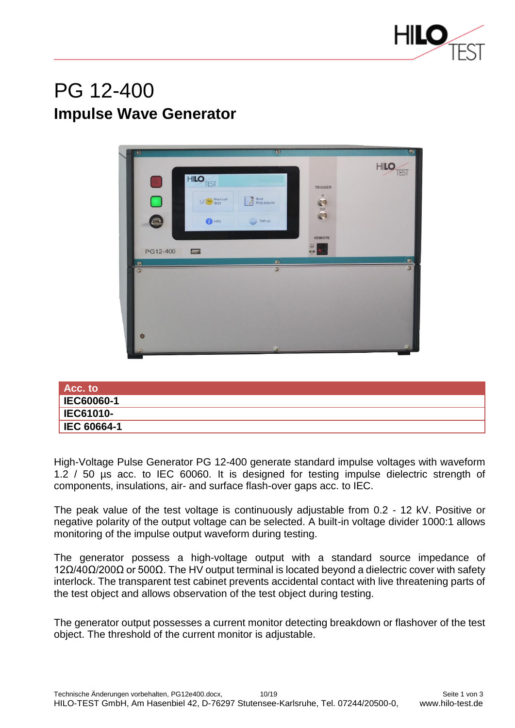

## PG 12-400 **Impulse Wave Generator**



| $Acc.$ to          |  |
|--------------------|--|
| <b>IEC60060-1</b>  |  |
| <b>IEC61010-</b>   |  |
| <b>IEC 60664-1</b> |  |

High-Voltage Pulse Generator PG 12-400 generate standard impulse voltages with waveform 1.2 / 50 µs acc. to IEC 60060. It is designed for testing impulse dielectric strength of components, insulations, air- and surface flash-over gaps acc. to IEC.

The peak value of the test voltage is continuously adjustable from 0.2 - 12 kV. Positive or negative polarity of the output voltage can be selected. A built-in voltage divider 1000:1 allows monitoring of the impulse output waveform during testing.

The generator possess a high-voltage output with a standard source impedance of  $12Ω/40Ω/200Ω$  or 500 $Ω$ . The HV output terminal is located beyond a dielectric cover with safety interlock. The transparent test cabinet prevents accidental contact with live threatening parts of the test object and allows observation of the test object during testing.

The generator output possesses a current monitor detecting breakdown or flashover of the test object. The threshold of the current monitor is adjustable.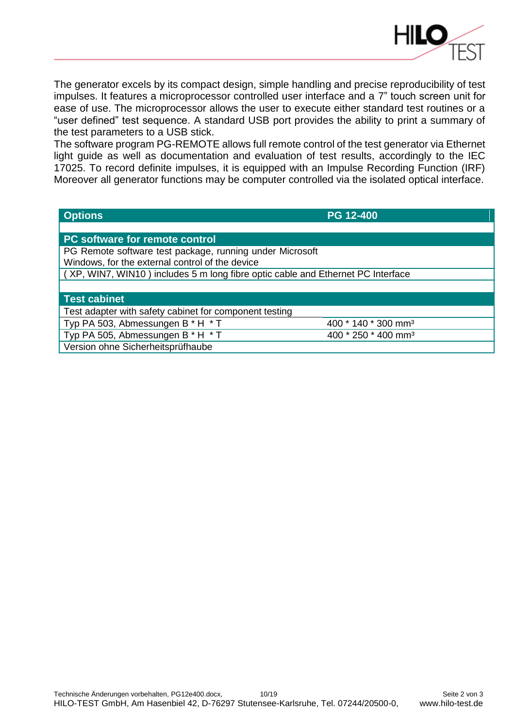

The generator excels by its compact design, simple handling and precise reproducibility of test impulses. It features a microprocessor controlled user interface and a 7" touch screen unit for ease of use. The microprocessor allows the user to execute either standard test routines or a "user defined" test sequence. A standard USB port provides the ability to print a summary of the test parameters to a USB stick.

The software program PG-REMOTE allows full remote control of the test generator via Ethernet light guide as well as documentation and evaluation of test results, accordingly to the IEC 17025. To record definite impulses, it is equipped with an Impulse Recording Function (IRF) Moreover all generator functions may be computer controlled via the isolated optical interface.

| <b>Options</b>                                                                  | <b>PG 12-400</b>                |  |
|---------------------------------------------------------------------------------|---------------------------------|--|
|                                                                                 |                                 |  |
| <b>PC software for remote control</b>                                           |                                 |  |
| PG Remote software test package, running under Microsoft                        |                                 |  |
| Windows, for the external control of the device                                 |                                 |  |
| (XP, WIN7, WIN10) includes 5 m long fibre optic cable and Ethernet PC Interface |                                 |  |
|                                                                                 |                                 |  |
| <b>Test cabinet</b>                                                             |                                 |  |
| Test adapter with safety cabinet for component testing                          |                                 |  |
| Typ PA 503, Abmessungen B * H * T                                               | 400 * 140 * 300 mm <sup>3</sup> |  |
| Typ PA 505, Abmessungen B * H * T                                               | 400 * 250 * 400 mm <sup>3</sup> |  |
| Version ohne Sicherheitsprüfhaube                                               |                                 |  |